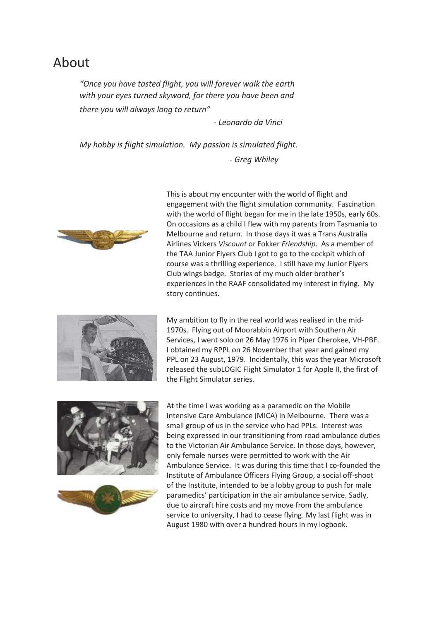## About

*"Once you have tasted flight, you will forever walk the earth with your eyes turned skyward, for there you have been and there you will always long to return"*

 *- Leonardo da Vinci*

*My hobby is flight simulation. My passion is simulated flight.*

 *- Greg Whiley*



This is about my encounter with the world of flight and engagement with the flight simulation community. Fascination with the world of flight began for me in the late 1950s, early 60s. On occasions as a child I flew with my parents from Tasmania to Melbourne and return. In those days it was a Trans Australia Airlines Vickers *Viscount* or Fokker *Friendship*. As a member of the TAA Junior Flyers Club I got to go to the cockpit which of course was a thrilling experience. I still have my Junior Flyers Club wings badge. Stories of my much older brother's experiences in the RAAF consolidated my interest in flying. My story continues.



My ambition to fly in the real world was realised in the mid-1970s. Flying out of Moorabbin Airport with Southern Air Services, I went solo on 26 May 1976 in Piper Cherokee, VH-PBF. I obtained my RPPL on 26 November that year and gained my PPL on 23 August, 1979. Incidentally, this was the year Microsoft released the subLOGIC Flight Simulator 1 for Apple II, the first of the Flight Simulator series.





At the time I was working as a paramedic on the Mobile Intensive Care Ambulance (MICA) in Melbourne. There was a small group of us in the service who had PPLs. Interest was being expressed in our transitioning from road ambulance duties to the Victorian Air Ambulance Service. In those days, however, only female nurses were permitted to work with the Air Ambulance Service. It was during this time that I co-founded the Institute of Ambulance Officers Flying Group, a social off-shoot of the Institute, intended to be a lobby group to push for male paramedics' participation in the air ambulance service. Sadly, due to aircraft hire costs and my move from the ambulance service to university, I had to cease flying. My last flight was in August 1980 with over a hundred hours in my logbook.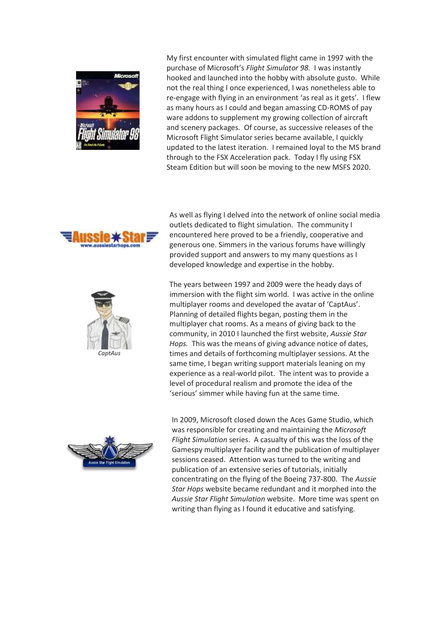

My first encounter with simulated flight came in 1997 with the purchase of Microsoft's *Flight Simulator 98.* I was instantly hooked and launched into the hobby with absolute gusto. While not the real thing I once experienced, I was nonetheless able to re-engage with flying in an environment 'as real as it gets'. I flew as many hours as I could and began amassing CD-ROMS of pay ware addons to supplement my growing collection of aircraft and scenery packages. Of course, as successive releases of the Microsoft Flight Simulator series became available, I quickly updated to the latest iteration. I remained loyal to the MS brand through to the FSX Acceleration pack. Today I fly using FSX Steam Edition but will soon be moving to the new MSFS 2020.





As well as flying I delved into the network of online social media outlets dedicated to flight simulation. The community I encountered here proved to be a friendly, cooperative and generous one. Simmers in the various forums have willingly provided support and answers to my many questions as I developed knowledge and expertise in the hobby.

The years between 1997 and 2009 were the heady days of immersion with the flight sim world. I was active in the online multiplayer rooms and developed the avatar of 'CaptAus'. Planning of detailed flights began, posting them in the multiplayer chat rooms. As a means of giving back to the community, in 2010 I launched the first website, *Aussie Star Hops.* This was the means of giving advance notice of dates, times and details of forthcoming multiplayer sessions. At the same time, I began writing support materials leaning on my experience as a real-world pilot. The intent was to provide a level of procedural realism and promote the idea of the 'serious' simmer while having fun at the same time.



In 2009, Microsoft closed down the Aces Game Studio, which was responsible for creating and maintaining the *Microsoft Flight Simulation* series. A casualty of this was the loss of the Gamespy multiplayer facility and the publication of multiplayer sessions ceased. Attention was turned to the writing and publication of an extensive series of tutorials, initially concentrating on the flying of the Boeing 737-800. The *Aussie Star Hops* website became redundant and it morphed into the *Aussie Star Flight Simulation* website. More time was spent on writing than flying as I found it educative and satisfying.